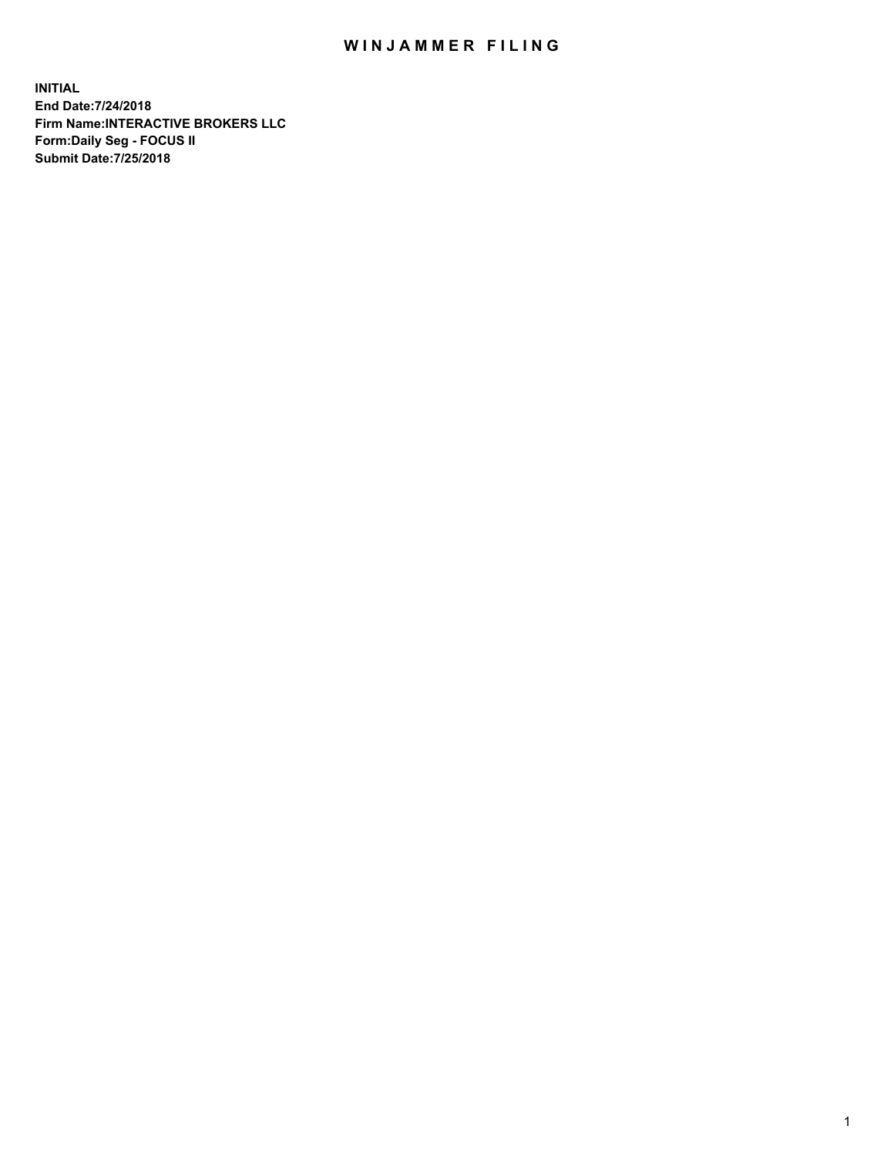## WIN JAMMER FILING

**INITIAL End Date:7/24/2018 Firm Name:INTERACTIVE BROKERS LLC Form:Daily Seg - FOCUS II Submit Date:7/25/2018**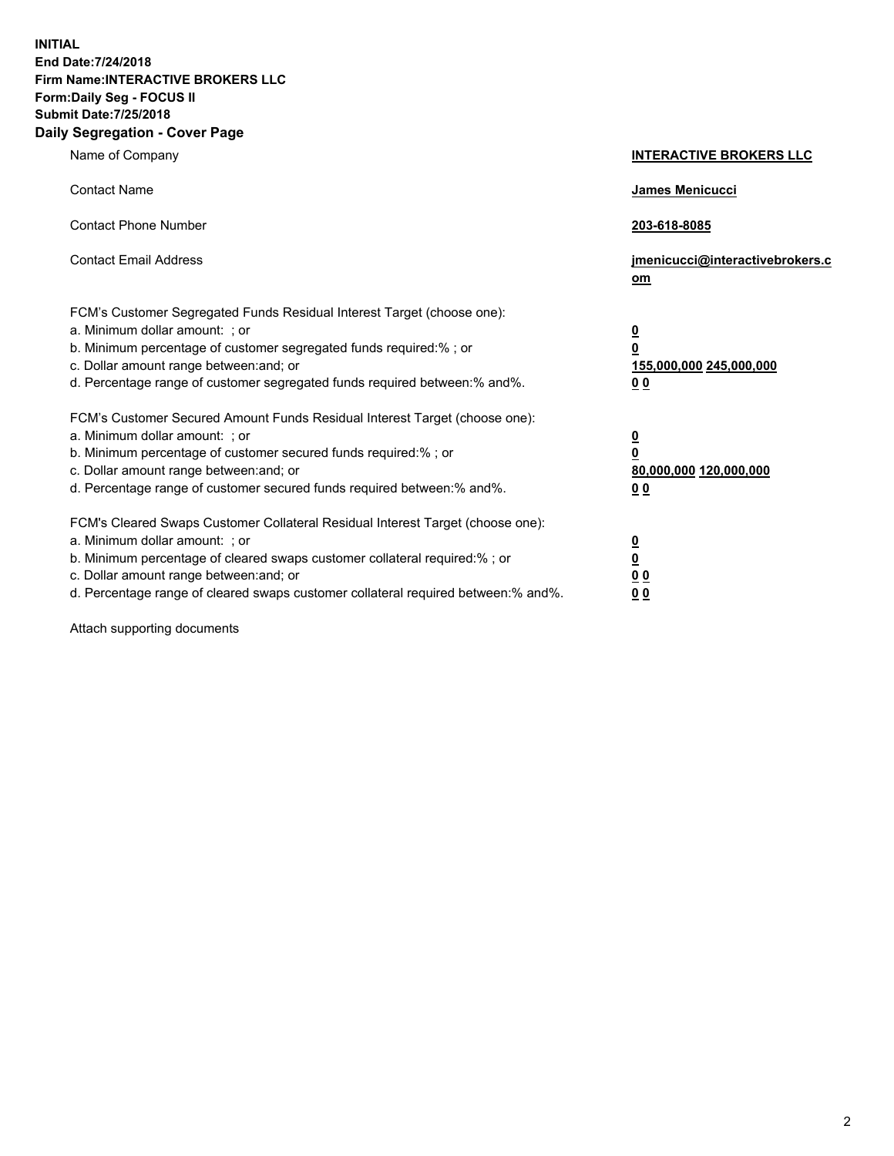**INITIAL End Date:7/24/2018 Firm Name:INTERACTIVE BROKERS LLC Form:Daily Seg - FOCUS II Submit Date:7/25/2018 Daily Segregation - Cover Page**

| Name of Company                                                                                                                                                                                                                                                                                                                | <b>INTERACTIVE BROKERS LLC</b>                                                                  |
|--------------------------------------------------------------------------------------------------------------------------------------------------------------------------------------------------------------------------------------------------------------------------------------------------------------------------------|-------------------------------------------------------------------------------------------------|
| <b>Contact Name</b>                                                                                                                                                                                                                                                                                                            | <b>James Menicucci</b>                                                                          |
| <b>Contact Phone Number</b>                                                                                                                                                                                                                                                                                                    | 203-618-8085                                                                                    |
| <b>Contact Email Address</b>                                                                                                                                                                                                                                                                                                   | jmenicucci@interactivebrokers.c<br>om                                                           |
| FCM's Customer Segregated Funds Residual Interest Target (choose one):<br>a. Minimum dollar amount: ; or<br>b. Minimum percentage of customer segregated funds required:% ; or<br>c. Dollar amount range between: and; or<br>d. Percentage range of customer segregated funds required between: % and %.                       | $\overline{\mathbf{0}}$<br>$\overline{\mathbf{0}}$<br>155,000,000 245,000,000<br>0 <sub>0</sub> |
| FCM's Customer Secured Amount Funds Residual Interest Target (choose one):<br>a. Minimum dollar amount: ; or<br>b. Minimum percentage of customer secured funds required:% ; or<br>c. Dollar amount range between: and; or<br>d. Percentage range of customer secured funds required between:% and%.                           | <u>0</u><br>$\overline{\mathbf{0}}$<br>80,000,000 120,000,000<br><u>00</u>                      |
| FCM's Cleared Swaps Customer Collateral Residual Interest Target (choose one):<br>a. Minimum dollar amount: ; or<br>b. Minimum percentage of cleared swaps customer collateral required:% ; or<br>c. Dollar amount range between: and; or<br>d. Percentage range of cleared swaps customer collateral required between:% and%. | $\overline{\mathbf{0}}$<br>$\underline{\mathbf{0}}$<br>0 <sub>0</sub><br>00                     |

Attach supporting documents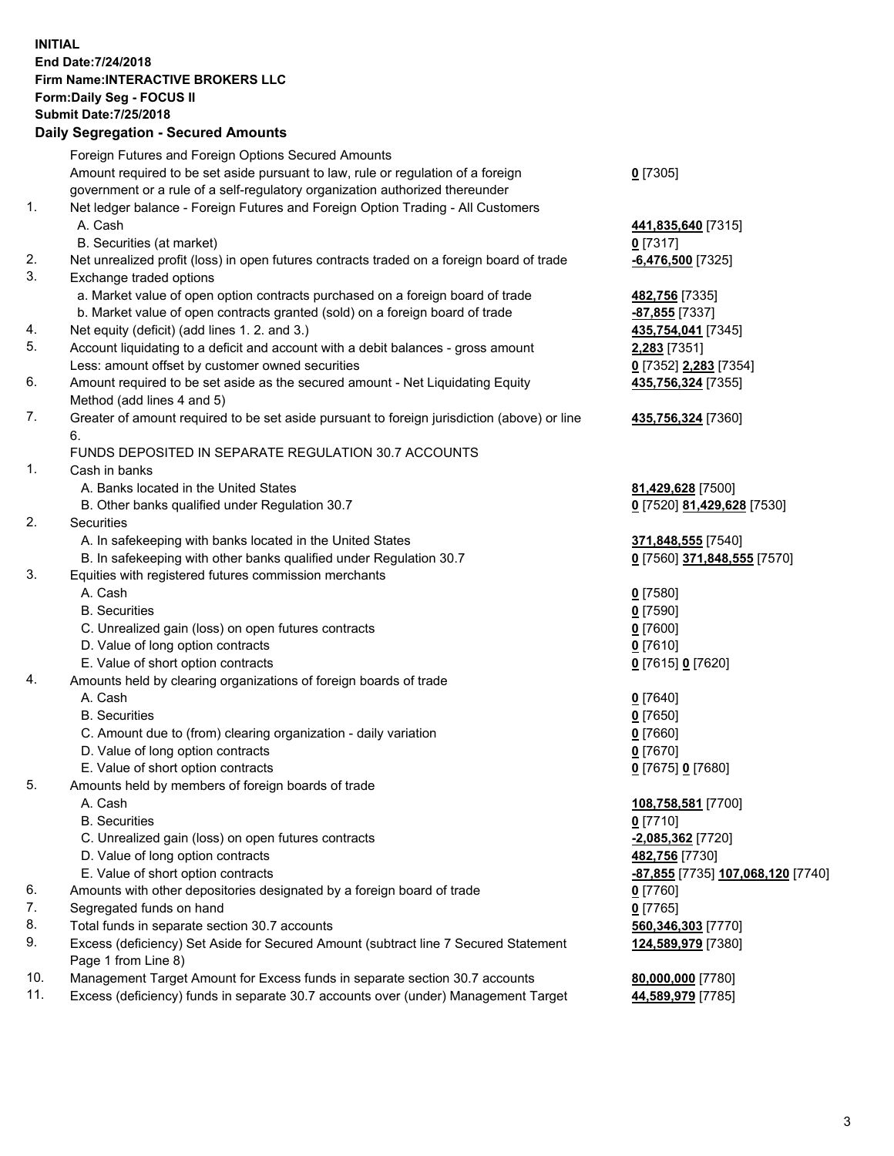## **INITIAL End Date:7/24/2018 Firm Name:INTERACTIVE BROKERS LLC Form:Daily Seg - FOCUS II Submit Date:7/25/2018 Daily Segregation - Secured Amounts**

|     | Daily Ocglegation - Occarea Anioants                                                                       |                                                |
|-----|------------------------------------------------------------------------------------------------------------|------------------------------------------------|
|     | Foreign Futures and Foreign Options Secured Amounts                                                        |                                                |
|     | Amount required to be set aside pursuant to law, rule or regulation of a foreign                           | $0$ [7305]                                     |
|     | government or a rule of a self-regulatory organization authorized thereunder                               |                                                |
| 1.  | Net ledger balance - Foreign Futures and Foreign Option Trading - All Customers                            |                                                |
|     | A. Cash                                                                                                    | 441,835,640 [7315]                             |
|     | B. Securities (at market)                                                                                  | $0$ [7317]                                     |
| 2.  | Net unrealized profit (loss) in open futures contracts traded on a foreign board of trade                  | $-6,476,500$ [7325]                            |
| 3.  | Exchange traded options                                                                                    |                                                |
|     | a. Market value of open option contracts purchased on a foreign board of trade                             | 482,756 [7335]                                 |
|     | b. Market value of open contracts granted (sold) on a foreign board of trade                               | -87,855 [7337]                                 |
| 4.  | Net equity (deficit) (add lines 1.2. and 3.)                                                               | 435,754,041 [7345]                             |
| 5.  | Account liquidating to a deficit and account with a debit balances - gross amount                          | <b>2,283</b> [7351]                            |
|     | Less: amount offset by customer owned securities                                                           | 0 [7352] 2,283 [7354]                          |
| 6.  | Amount required to be set aside as the secured amount - Net Liquidating Equity                             | 435,756,324 [7355]                             |
|     | Method (add lines 4 and 5)                                                                                 |                                                |
| 7.  | Greater of amount required to be set aside pursuant to foreign jurisdiction (above) or line                | 435,756,324 [7360]                             |
|     | 6.                                                                                                         |                                                |
|     | FUNDS DEPOSITED IN SEPARATE REGULATION 30.7 ACCOUNTS                                                       |                                                |
| 1.  | Cash in banks                                                                                              |                                                |
|     | A. Banks located in the United States                                                                      | 81,429,628 [7500]                              |
|     | B. Other banks qualified under Regulation 30.7                                                             | 0 [7520] 81,429,628 [7530]                     |
| 2.  | Securities                                                                                                 |                                                |
|     | A. In safekeeping with banks located in the United States                                                  | 371,848,555 [7540]                             |
|     | B. In safekeeping with other banks qualified under Regulation 30.7                                         | 0 [7560] 371,848,555 [7570]                    |
| 3.  | Equities with registered futures commission merchants                                                      |                                                |
|     | A. Cash                                                                                                    | $0$ [7580]                                     |
|     | <b>B.</b> Securities                                                                                       | $0$ [7590]                                     |
|     | C. Unrealized gain (loss) on open futures contracts                                                        | $0$ [7600]                                     |
|     | D. Value of long option contracts                                                                          | $0$ [7610]                                     |
|     | E. Value of short option contracts                                                                         | 0 [7615] 0 [7620]                              |
| 4.  | Amounts held by clearing organizations of foreign boards of trade                                          |                                                |
|     | A. Cash                                                                                                    | $0$ [7640]                                     |
|     | <b>B.</b> Securities                                                                                       | $0$ [7650]                                     |
|     | C. Amount due to (from) clearing organization - daily variation                                            | $0$ [7660]                                     |
|     | D. Value of long option contracts                                                                          | $0$ [7670]                                     |
|     | E. Value of short option contracts                                                                         | 0 [7675] 0 [7680]                              |
| 5.  | Amounts held by members of foreign boards of trade                                                         |                                                |
|     | A. Cash                                                                                                    | 108,758,581 [7700]                             |
|     | <b>B.</b> Securities                                                                                       | $0$ [7710]                                     |
|     | C. Unrealized gain (loss) on open futures contracts                                                        | $-2,085,362$ [7720]                            |
|     | D. Value of long option contracts                                                                          | 482,756 [7730]                                 |
|     | E. Value of short option contracts                                                                         | <mark>-87,855</mark> [7735] 107,068,120 [7740] |
| 6.  | Amounts with other depositories designated by a foreign board of trade                                     | $0$ [7760]                                     |
| 7.  | Segregated funds on hand                                                                                   | $0$ [7765]                                     |
| 8.  | Total funds in separate section 30.7 accounts                                                              | 560,346,303 [7770]                             |
| 9.  | Excess (deficiency) Set Aside for Secured Amount (subtract line 7 Secured Statement<br>Page 1 from Line 8) | 124,589,979 [7380]                             |
| 10. | Management Target Amount for Excess funds in separate section 30.7 accounts                                | 80,000,000 [7780]                              |
| 11. | Excess (deficiency) funds in separate 30.7 accounts over (under) Management Target                         | 44,589,979 [7785]                              |
|     |                                                                                                            |                                                |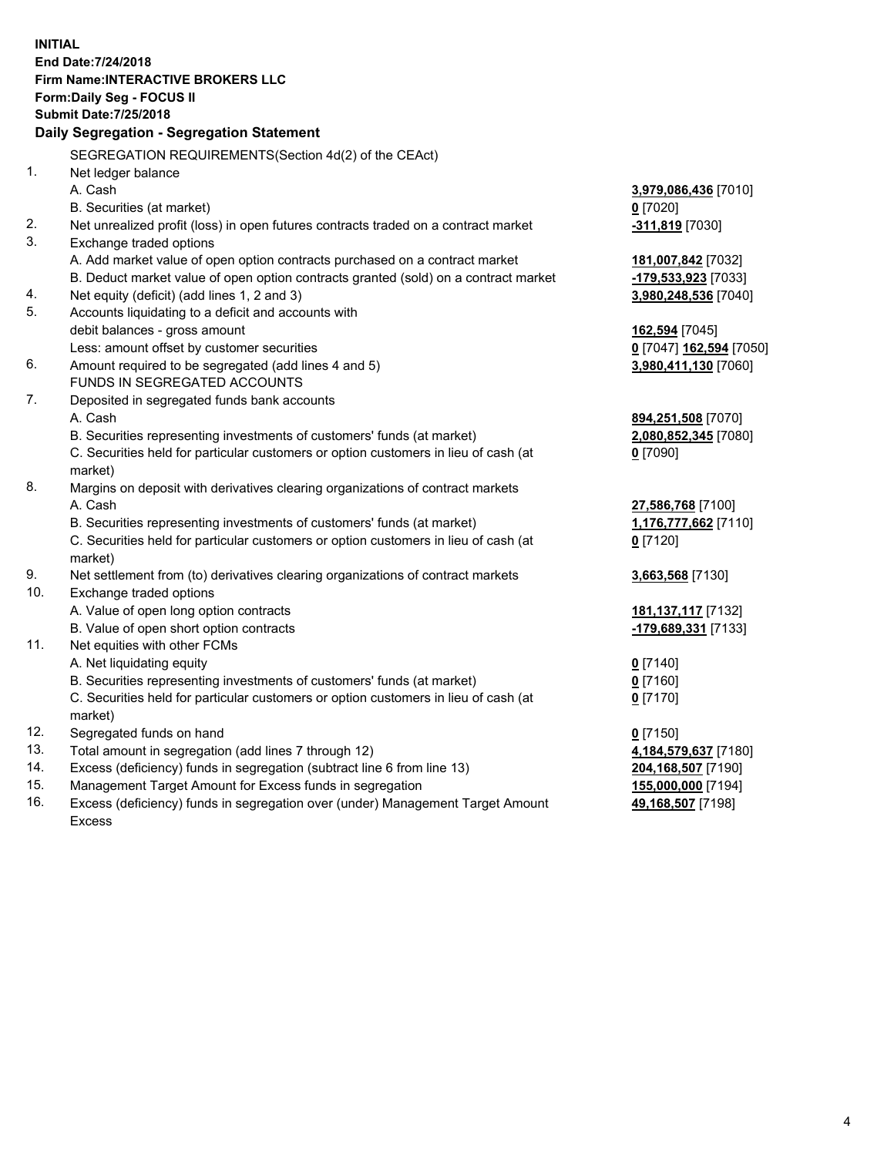**INITIAL End Date:7/24/2018 Firm Name:INTERACTIVE BROKERS LLC Form:Daily Seg - FOCUS II Submit Date:7/25/2018 Daily Segregation - Segregation Statement** SEGREGATION REQUIREMENTS(Section 4d(2) of the CEAct) 1. Net ledger balance A. Cash **3,979,086,436** [7010] B. Securities (at market) **0** [7020] 2. Net unrealized profit (loss) in open futures contracts traded on a contract market **-311,819** [7030] 3. Exchange traded options A. Add market value of open option contracts purchased on a contract market **181,007,842** [7032] B. Deduct market value of open option contracts granted (sold) on a contract market **-179,533,923** [7033] 4. Net equity (deficit) (add lines 1, 2 and 3) **3,980,248,536** [7040] 5. Accounts liquidating to a deficit and accounts with debit balances - gross amount **162,594** [7045] Less: amount offset by customer securities **0** [7047] **162,594** [7050] 6. Amount required to be segregated (add lines 4 and 5) **3,980,411,130** [7060] FUNDS IN SEGREGATED ACCOUNTS 7. Deposited in segregated funds bank accounts A. Cash **894,251,508** [7070] B. Securities representing investments of customers' funds (at market) **2,080,852,345** [7080] C. Securities held for particular customers or option customers in lieu of cash (at market) **0** [7090] 8. Margins on deposit with derivatives clearing organizations of contract markets A. Cash **27,586,768** [7100] B. Securities representing investments of customers' funds (at market) **1,176,777,662** [7110] C. Securities held for particular customers or option customers in lieu of cash (at market) **0** [7120] 9. Net settlement from (to) derivatives clearing organizations of contract markets **3,663,568** [7130] 10. Exchange traded options A. Value of open long option contracts **181,137,117** [7132] B. Value of open short option contracts **-179,689,331** [7133] 11. Net equities with other FCMs A. Net liquidating equity **0** [7140] B. Securities representing investments of customers' funds (at market) **0** [7160] C. Securities held for particular customers or option customers in lieu of cash (at market) **0** [7170] 12. Segregated funds on hand **0** [7150] 13. Total amount in segregation (add lines 7 through 12) **4,184,579,637** [7180] 14. Excess (deficiency) funds in segregation (subtract line 6 from line 13) **204,168,507** [7190] 15. Management Target Amount for Excess funds in segregation **155,000,000** [7194] **49,168,507** [7198]

16. Excess (deficiency) funds in segregation over (under) Management Target Amount Excess